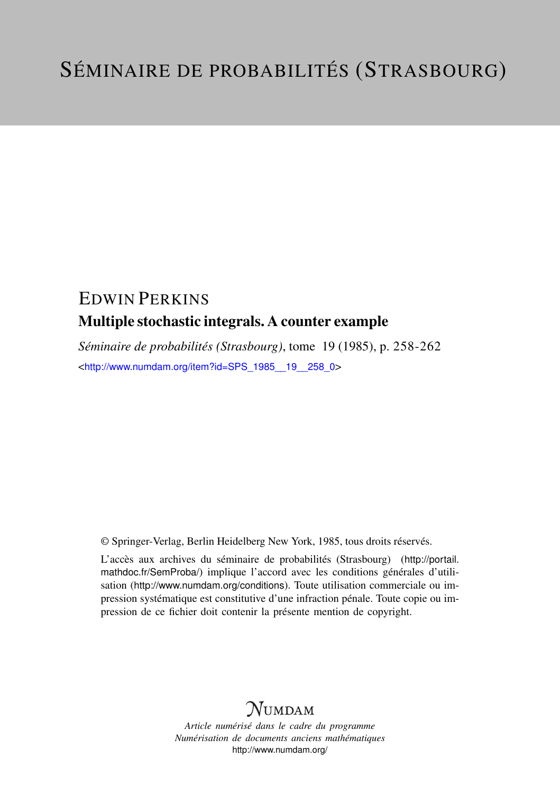## EDWIN PERKINS Multiple stochastic integrals. A counter example

*Séminaire de probabilités (Strasbourg)*, tome 19 (1985), p. 258-262 <[http://www.numdam.org/item?id=SPS\\_1985\\_\\_19\\_\\_258\\_0](http://www.numdam.org/item?id=SPS_1985__19__258_0)>

© Springer-Verlag, Berlin Heidelberg New York, 1985, tous droits réservés.

L'accès aux archives du séminaire de probabilités (Strasbourg) ([http://portail.](http://portail.mathdoc.fr/SemProba/) [mathdoc.fr/SemProba/](http://portail.mathdoc.fr/SemProba/)) implique l'accord avec les conditions générales d'utilisation (<http://www.numdam.org/conditions>). Toute utilisation commerciale ou impression systématique est constitutive d'une infraction pénale. Toute copie ou impression de ce fichier doit contenir la présente mention de copyright.

# **NUMDAM**

*Article numérisé dans le cadre du programme Numérisation de documents anciens mathématiques* <http://www.numdam.org/>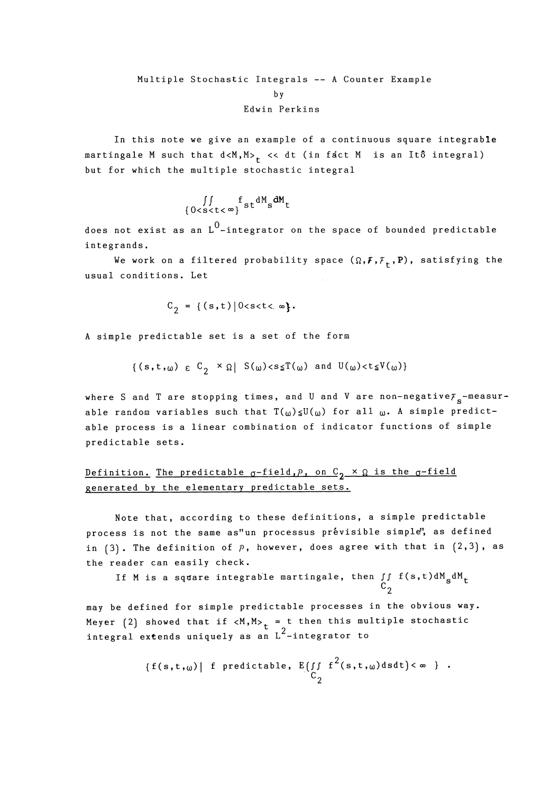### Multiple Stochastic Integrals -- A Counter Example by Edwin Perkins

In this note we give an example of a continuous square integrable martingale M such that  $d < M, M>$ <sub>t</sub>  $<< dt$  (in fact M is an Itô integral) but for which the multiple stochastic integral

$$
\iint_{\{0
$$

does not exist as an  $L^0$ -integrator on the space of bounded predictable integrands,

We work on a filtered probability space  $(\Omega, \tilde{r}, \tilde{r}_+, P)$ , satisfying the usual conditions. Let

$$
c_2 = \{ (s,t) | 0 < s < t < \infty \}.
$$

A simple predictable set is a set of the form

$$
\{(s,t,\omega) \in C_2 \times \Omega \mid S(\omega) < s \leq T(\omega) \text{ and } U(\omega) < t \leq V(\omega)\}
$$

where S and T are stopping times, and U and V are non-negative $\mathcal{F}_{\mathbf{S}}$ -measurable random variables such that  $T(\omega) \leq U(\omega)$  for all  $\omega$ . A simple predictable process is a linear combination of indicator functions of simple predictable sets.

### <u>Definition. The predictable  $\sigma\text{-field}$  , on  $\texttt{C}_2 \times \Omega$  is the  $\sigma\text{-field}$ </u> generated by the elementary predictable sets.

Note that, according to these definitions, a simple predictable process is not the same as"un processus prévisible simple", as defined in  $(3)$ . The definition of  $p$ , however, does agree with that in  $(2,3)$ , as the reader can easily check.

If M is a square integrable martingale, then  $\int\limits_{C_2} f(s,t) \, \mathrm{d}M_g$ 

may be defined for simple predictable processes in the obvious way. Meyer (2) showed that if  $\langle M, M \rangle_t = t$  then this multiple stochastic integral extends uniquely as an  $L^2$ -integrator to

> $\mid$  f predictable, E $\left( \int\int_{0}^{1} f^{-}(s,t,\omega) ds dt \right) < \infty$  } .  $\degree$  2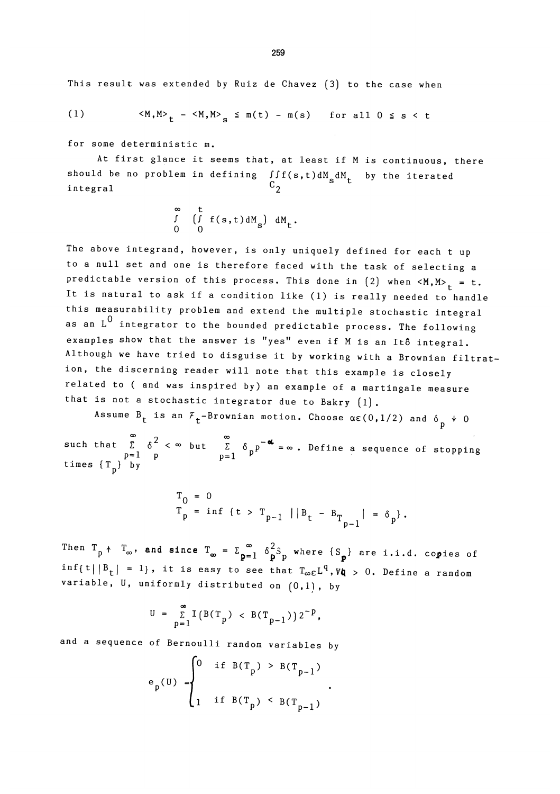This result was extended by Ruiz de Chavez (3) to the case when

(1) 
$$
\langle M, M \rangle_{t} - \langle M, M \rangle_{s} \leq m(t) - m(s)
$$
 for all  $0 \leq s \leq t$ 

for some deterministic m.

At first glance it seems that, at least if M is continuous, there should be no problem in defining  $f f(s,t) dM_s dM_t$  by the iterated  $C_2$  $integra1$ 

$$
\int_{0}^{\infty} \left( \int_{0}^{t} f(s,t) dM_{s} \right) dM_{t}.
$$

The above integrand, however, is only uniquely defined for each t up to a null set and one is therefore faced with the task of selecting a predictable version of this process. This done in (2) when  $\langle M, M \rangle_t = t$ . It is natural to ask if a condition like (1) is really needed to handle this measurability problem and extend the multiple stochastic integral as an  $\tt L^0$  integrator to the bounded predictable process. The following examples show that the answer is "yes" even if M is an Itô integral. Although we have tried to disguise it by working with a Brownian filtration, the discerning reader will note that this example is closely related to ( and was inspired by) an example of a martingale measure that is not a stochastic integrator due to Bakry (l).

Assume B<sub>t</sub> is an  $F_t$ -Brownian motion. Choose  $\alpha \in (0,1/2)$  and  $\delta_{n} \neq 0$ such that  $\sum_{p=1}^{\infty} 3^2 < \infty$  but  $\sum_{p=1}^{\infty} 6 p^{\log} = \infty$ . Define a sequence of stopping times  $\{T_p\}$  by

$$
T_0 = 0
$$
  
\n $T_p = inf \{t > T_{p-1} | B_t - B_{T_{p-1}} | = \delta_p \}.$ 

Then  $T_{p}$   $+$   $T_{\infty}$ , and since  $T_{\infty}$  =  $\Sigma_{p=1}^{\infty}$   $\delta_{p}^{2}S_{p}$  where  $\{S_{p}\}$  are i.i.d. copies of  $inf\{t \mid |B_t| = 1\}$ , it is easy to see that  $T_{\infty}E^{q}$ ,  $\nforall \mathbf{q} > 0$ . Define a random variable, U, uniformly distributed on (0,1), by

$$
U = \sum_{p=1}^{\infty} I(B(T_p) < B(T_{p-1})) 2^{-p},
$$

and a sequence of Bernoulli random variables by

$$
e_p(U) = \begin{cases} 0 & \text{if } B(T_p) > B(T_{p-1}) \\ & \\ 1 & \text{if } B(T_p) < B(T_{p-1}) \end{cases}
$$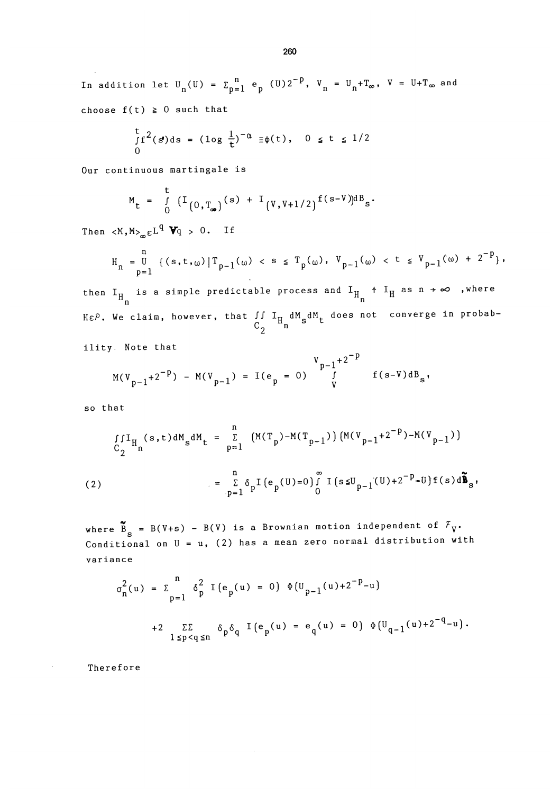In addition let  $U_n(U) = \sum_{p=1}^n e_p (U) 2^{-p}$ ,  $V_n = U_n + T_\infty$ ,  $V = U + T_\infty$  and choose  $f(t) \ge 0$  such that

$$
\int_{0}^{t} f^{2}(s^{t}) ds = (log \frac{1}{t})^{-\alpha} \equiv \phi(t), \quad 0 \leq t \leq 1/2
$$

Our continuous martingale is

$$
M_{t} = \int_{0}^{t} (I_{(0, T_{\infty})}(s) + I_{(V, V+1/2)} f(s-V))dB_{s}.
$$

Then  $\langle M, M \rangle_{\infty} \epsilon L^{q} \mathbf{V}_{q} > 0$ . If

$$
H_n = \bigcup_{p=1}^{n} \{ (s, t, \omega) | T_{p-1}(\omega) < s \leq T_p(\omega), V_{p-1}(\omega) < t \leq V_{p-1}(\omega) + 2^{-p} \},
$$

then  $I_{H\mathstrut_{\rm n}}$  is a simple predictable process and  $I_{H\mathstrut_{\rm n}}$   $\hbar$   $I_{H}$  as  ${\rm n}$   $\to$   $\infty$  ,where HEP. We claim, however, that  $\iint_{C_2} I_H dM_S dM_t$  does not converge in probab-

ility. Note that

$$
M(V_{p-1}+2^{-p}) - M(V_{p-1}) = I(e_p = 0) \t\t V_{p-1}+2^{-p} \t\t f(s-V)dB_s
$$

so that

$$
\iint_{C_2} f I_{H_n}(s, t) dM_s dM_t = \sum_{p=1}^{n} (M(T_p) - M(T_{p-1})) (M(V_{p-1} + 2^{-p}) - M(V_{p-1}))
$$
  
(2)  

$$
= \sum_{p=1}^{n} \delta_p I(e_p(U) = 0) \int_{0}^{\infty} I(s \le U_{p-1}(U) + 2^{-p} - U) f(s) d\tilde{\mathbf{B}}_s,
$$

where  $\mathbb{B}_{\mathbf{S}} = \mathbf{B}(\mathbf{V}+\mathbf{s}) - \mathbf{B}(\mathbf{V})$  is a Brownian motion independent of Conditional on U = u, (2) has a mean zero normal distribution with variance

$$
\sigma_n^2(u) = \sum_{p=1}^n \delta_p^2 I(e_p(u) = 0) \Phi(U_{p-1}(u) + 2^{-p} - u)
$$
  
+2 
$$
\sum_{1 \le p < q \le n} \delta_p \delta_q I(e_p(u) = e_q(u) = 0) \Phi(U_{q-1}(u) + 2^{-q} - u).
$$

Therefore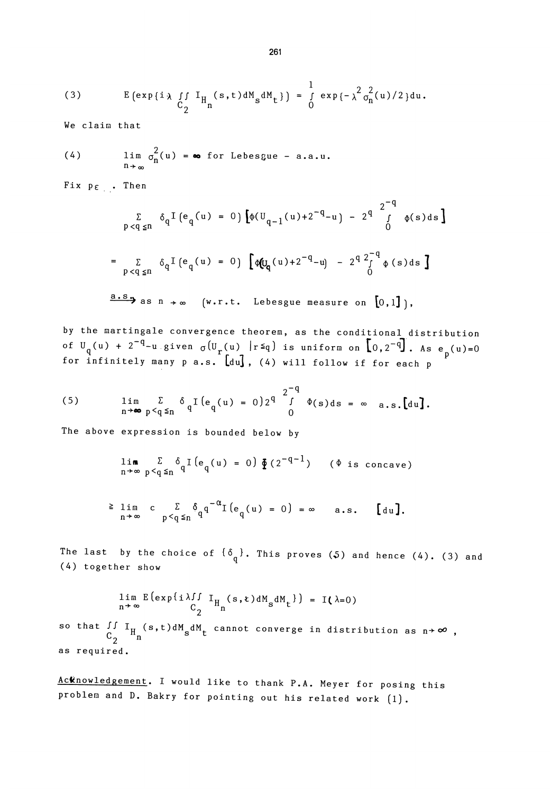(3) 
$$
E\left(\exp\{\mathrm{i}\lambda \int\limits_{C_2} J I_{H_n}(s,t) dM_s dM_t\}\right) = \int\limits_{0}^{1} \exp\{-\lambda^2 \sigma_n^2(u)/2\} du.
$$

We claim that

(4) 
$$
\lim_{n \to \infty} \sigma_n^2(u) = \infty \text{ for Lebesgue - a.a.u.}
$$

Fix  $p_{\varepsilon}$  . Then

$$
\sum_{p < q \le n} \delta_q I(e_q(u) = 0) \left[ \phi(U_{q-1}(u) + 2^{-q} - u) - 2^q \int_0^{2-q} \phi(s) ds \right]
$$

$$
= \sum_{p < q \leq n} \delta_q \mathbb{I} \left( e_q(u) = 0 \right) \left[ \Phi(u) + 2^{-q} - u \right] - 2^q \int_0^{2-q} \Phi(s) \, ds \right]
$$

$$
\xrightarrow{a.s.} \text{as } n \to \infty \quad (\text{w.r.t.} \quad \text{Lebesgue measure on } [0,1]),
$$

by the martingale convergence theorem, as the conditional distribution of  $U_q(u) + 2^{-q} - u$  given  $\sigma(U_r(u) | r \leq q)$  is uniform on  $[0, 2^{-q}]$ . As  $e_p(u)=0$  for infinitely many p a.s.  $[du]$ , (4) will follow if for each p

(5) 
$$
\lim_{n \to \infty} \sum_{p < q \leq n} \delta_q I(e_q(u) = 0) 2^q \int_{0}^{2-q} \Phi(s) ds = \infty \quad a.s. [du].
$$

The above expression is bounded below by

$$
\lim_{n \to \infty} \sum_{p < q \le n} \delta_q I(e_q(u) = 0) \sum_{q \in Q} (2^{-q-1}) \quad (\Phi \text{ is concave})
$$

$$
\geq \lim_{n \to \infty} c \sum_{p \leq q \leq n} \delta_q q^{-\alpha} I(e_q(u) = 0) = \infty \quad a.s. \quad [du].
$$

The last by the choice of  $\{\delta_q\}$ . This proves (5) and hence (4). (3) and (4) together show

$$
\lim_{n \to \infty} E(\exp\{i\lambda f J \prod_{H} (s, t) dM_s dM_t\}) = I(\lambda = 0)
$$
\nso that 
$$
\int_{C_2} \prod_{n} (s, t) dM_s dM_t
$$
 cannot converge in distribution as  $n \to \infty$ , as required.

Acknowledgement. I would like to thank P.A. Meyer for posing this problem and D. Bakry for pointing out his related work (1).